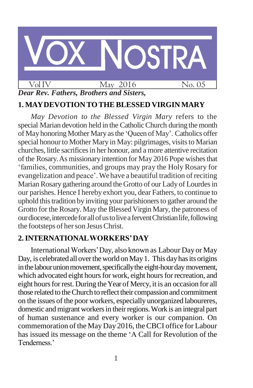

# **1. MAYDEVOTION TOTHEBLESSED VIRGIN MARY**

*May Devotion to the Blessed Virgin Mary* refers to the special Marian devotion held in the Catholic Church during the month of May honoring Mother Mary as the 'Queen of May'. Catholics offer special honour to Mother Mary in May: pilgrimages, visits to Marian churches, little sacrificesin her honour, and a more attentive recitation of the Rosary.As missionary intention for May 2016 Pope wishesthat 'families, communities, and groups may pray the Holy Rosary for evangelization and peace'.Wehave a beautiful tradition ofreciting Marian Rosary gathering around the Grotto of our Lady of Lourdes in our parishes. Hence I hereby exhort you, dear Fathers, to continue to uphold this tradition by inviting your parishioners to gather around the Grotto for the Rosary. May the Blessed Virgin Mary, the patroness of our diocese, intercede for all of us to live a fervent Christian life, following the footsteps of her son Jesus Christ.

# **2.INTERNATIONALWORKERS'DAY**

InternationalWorkers'Day, also known as Labour Day or May Day, is celebrated all over the world on May 1. This day has its origins in the labour union movement, specifically the eight-hourday movement, which advocated eight hours for work, eight hours for recreation, and eight hours for rest. During the Year of Mercy, it is an occasion for all those related to the Church to reflect their compassion and commitment on the issues of the poor workers, especially unorganized laboureres, domestic and migrant workers in their regions. Work is an integral part of human sustenance and every worker is our companion. On commemoration of the May Day 2016, the CBCI office for Labour has issued its message on the theme 'A Call for Revolution of the Tenderness.'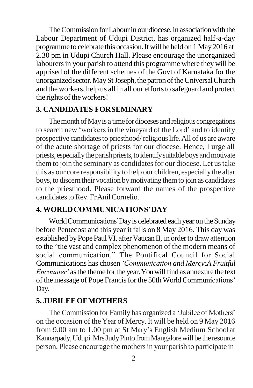The Commission for Labour in our diocese, in association with the Labour Department of Udupi District, has organized half-a-day programme to celebrate this occasion.Itwill be held on 1 May2016 at 2.30 pm in Udupi Church Hall. Please encourage the unorganized labourers in your parish to attend this programme where they will be apprised of the different schemes of the Govt of Karnataka for the unorganized sector. May St Joseph, the patron of the Universal Church and the workers, help us all in all our efforts to safeguard and protect the rights of the workers!

#### **3. CANDIDATES FORSEMINARY**

The month of May is a time for dioceses and religious congregations to search new 'workersin the vineyard of the Lord' and to identify prospective candidatesto priesthood/religiouslife.All of us are aware of the acute shortage of priests for our diocese. Hence, I urge all priests, especially the parish priests, to identify suitable boys and motivate them to join the seminary as candidates for our diocese. Let us take this as our core responsibilityto help our children, especiallythe altar boys, to discern their vocation by motivating them to join as candidates to the priesthood. Please forward the names of the prospective candidates to Rev. Fr Anil Cornelio.

### **4. WORLDCOMMUNICATIONS'DAY**

World Communications' Day is celebrated each year on the Sunday before Pentecost and this year it falls on 8 May 2016. This day was established by Pope Paul VI, after Vatican II, in order to draw attention to the "the vast and complex phenomenon of the modern means of social communication." The Pontifical Council for Social Communications has chosen *'Communication and Mercy:A Fruitful Encounter'* as the theme for the year. You will find as annexure the text of the message of Pope Francis for the 50th World Communications' Day.

#### **5. JUBILEEOFMOTHERS**

The Commission for Family has organized a 'Jubilee of Mothers' on the occasion of the Year of Mercy. It will be held on 9 May 2016 from 9.00 am to 1.00 pm at St Mary's English Medium Schoolat Kannarpady, Udupi. Mrs Judy Pinto from Mangalore will be the resource person. Please encourage the mothersin your parish to participate in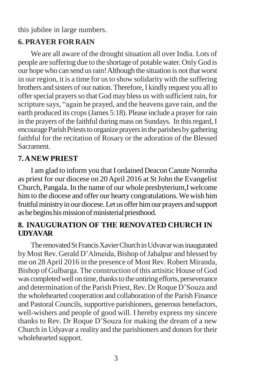this jubilee in large numbers.

## **6. PRAYER FORRAIN**

We are all aware of the drought situation all over India. Lots of people are suffering due to the shortage of potable water.OnlyGod is our hope who can send us rain! Although the situation is not that worst in our region, it is a time for us to show solidarity with the suffering brothers and sisters of our nation.Therefore,I kindly request you all to offer special prayers so that God may bless us with sufficient rain, for scripture says, "again he prayed, and the heavens gave rain, and the earth produced its crops(James 5:18). Please include a prayer for rain in the prayers of the faithful during mass on Sundays. In this regard, I encourage Parish Priests to organize prayers in the parishes by gathering faithful for the recitation of Rosary or the adoration of the Blessed Sacrament.

# **7.ANEWPRIEST**

I am glad to inform you that I ordained DeaconCanute Noronha as priest for our diocese on 20April 2016 at StJohn the Evangelist Church, Pangala. In the name of our whole presbyterium,I welcome him to the diocese and offer our hearty congratulations.Wewish him fruitful ministry in our diocese. Let us offer him our prayers and support as he begins his mission of ministerial priesthood.

# **8. INAUGURATION OF THE RENOVATED CHURCH IN UDYAVAR**

The renovated St Francis Xavier Church in Udvavar was inaugurated by Most Rev. Gerald D'Almeida, Bishop of Jabalpur and blessed by me on 28 April 2016 in the presence of Most Rev. Robert Miranda, Bishop of Gulbarga. The construction ofthis artisitic House of God was completed well on time, thanks to the untiring efforts, perseverance and determination of the Parish Priest, Rev. Dr Roque D'Souza and the wholehearted cooperation and collaboration of the Parish Finance and Pastoral Councils, supportive parishioners, generous benefactors, well-wishers and people of good will. I hereby express my sincere thanks to Rev. Dr Roque D'Souza for making the dream of a new Church in Udyavar a reality and the parishioners and donors for their wholehearted support.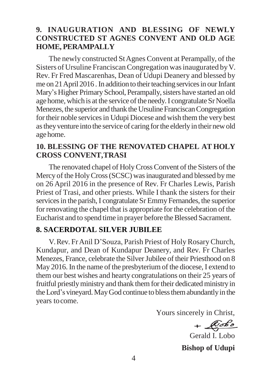### **9. INAUGURATION AND BLESSING OF NEWLY CONSTRUCTED ST AGNES CONVENT AND OLD AGE HOME, PERAMPALLY**

The newly constructed StAgnes Convent at Perampally, of the Sisters of Ursuline FranciscanCongregation wasinaugurated byV. Rev. Fr Fred Mascarenhas, Dean of Udupi Deanery and blessed by me on 21 April 2016. In addition to their teaching services in our Infant Mary's Higher Primary School, Perampally, sisters have started an old age home, which is at the service of the needy. I congratulate Sr Noella Menezes, the superior and thank the Ursuline Franciscan Congregation for their noble services in Udupi Diocese and wish them the very best astheyventure into the service of caring forthe elderlyin their newold agehome.

### **10. BLESSING OF THE RENOVATED CHAPEL AT HOLY CROSS CONVENT,TRASI**

The renovated chapel of HolyCrossConvent of the Sisters of the Mercy of the Holy Cross (SCSC) was inaugurated and blessed by me on 26 April 2016 in the presence of Rev. Fr Charles Lewis, Parish Priest of Trasi, and other priests. While I thank the sisters for their services in the parish, I congratulate Sr Emmy Fernandes, the superior for renovating the chapel that is appropriate for the celebration of the Eucharist and to spend time in prayer before the Blessed Sacrament.

#### **8. SACERDOTAL SILVER JUBILEE**

V.Rev. FrAnil D'Souza, Parish Priest of HolyRosaryChurch, Kundapur, and Dean of Kundapur Deanery, and Rev. Fr Charles Menezes, France, celebrate the Silver Jubilee of their Priesthood on 8 May 2016. In the name of the presbyterium of the diocese, I extend to them our best wishes and hearty congratulations on their 25 years of fruitful priestly ministry and thank them for their dedicated ministry in the Lord's vineyard. May God continue to bless them abundantly in the years tocome.

Yours sincerely in Christ,

 $+$  $\sqrt{b}$ 

Gerald I. Lobo

**Bishop of Udupi**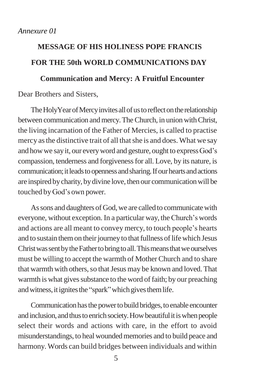# **MESSAGE OF HIS HOLINESS POPE FRANCIS FOR THE 50th WORLD COMMUNICATIONS DAY**

# **Communication and Mercy: A Fruitful Encounter**

Dear Brothers and Sisters,

The HolyYear of Mercy invites all of us to reflect on the relationship between communication and mercy. The Church, in union with Christ, the living incarnation of the Father of Mercies, is called to practise mercy asthe distinctive trait of all thatshe is and does. What we say and how we say it, our every word and gesture, ought to express God's compassion, tenderness and forgivenessfor all. Love, by its nature, is communication; it leads to openness and sharing. If our hearts and actions are inspired bycharity, bydivine love, then our communicationwill be touched byGod's own power.

As sons and daughters of God, we are called to communicate with everyone, without exception. In a particular way, theChurch's words and actions are all meant to convey mercy, to touch people's hearts and to sustain them on their journey to that fullness of life which Jesus ChristwassentbytheFathertobringtoall.Thismeansthatweourselves must be willing to accept the warmth of MotherChurch and to share that warmth with others, so that Jesus may be known and loved. That warmth is what gives substance to the word of faith; by our preaching and witness, it ignites the "spark" which gives them life.

Communication has the power to build bridges, to enable encounter and inclusion, and thus to enrich society. How beautiful it is when people select their words and actions with care, in the effort to avoid misunderstandings, to heal woundedmemories and to build peace and harmony. Words can build bridges between individuals and within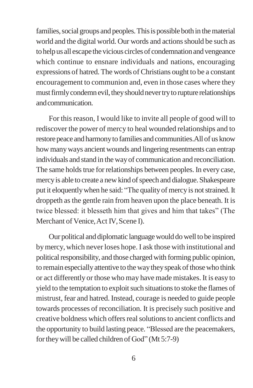families, social groups and peoples. This is possible both in the material world and the digital world. Our words and actions should be such as to help us all escape the vicious circles of condemnation and vengeance which continue to ensnare individuals and nations, encouraging expressions of hatred.The words of Christians ought to be a constant encouragement to communion and, even in those cases where they must firmly condemn evil, they should never try to rupture relationships andcommunication.

For this reason, I would like to invite all people of good will to rediscover the power of mercy to heal wounded relationships and to restore peace and harmony to families and communities.All of us know how many ways ancient wounds and lingering resentments can entrap individuals and stand in the wayof communication and reconciliation. The same holds true for relationships between peoples. In every case, mercy is able to create a new kind of speech and dialogue. Shakespeare put it eloquentlywhen he said: "The qualityof mercy is notstrained.It droppeth asthe gentle rain from heaven upon the place beneath. It is twice blessed: it blesseth him that gives and him that takes" (The Merchant of Venice, Act IV, Scene I).

Our political and diplomatic languagewould dowellto be inspired bymercy,which neverloses hope. I ask those with institutional and political responsibility, and those charged with forming public opinion, to remain especially attentive to the way they speak of those who think or act differently or those who may have made mistakes. It is easy to yield to the temptation to exploit such situations to stoke the flames of mistrust, fear and hatred. Instead, courage is needed to guide people towards processes of reconciliation. It is precisely such positive and creative boldness which offersrealsolutionsto ancient conflicts and the opportunity to build lasting peace. "Blessed are the peacemakers, fortheywill be called children of God" (Mt 5:7-9)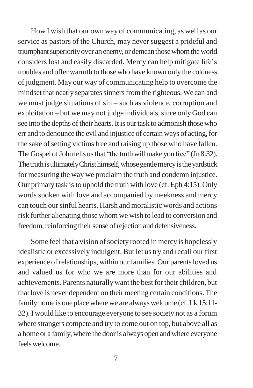How I wish that our own way of communicating, as well as our service as pastors of the Church, may never suggest a prideful and triumphant superiority over an enemy, or demean those whom the world considers lost and easily discarded. Mercy can help mitigate life's troubles and offer warmth to those who have known only the coldness of judgment. May our way of communicating help to overcome the mindset that neatly separates sinners from the righteous. We can and we must judge situations of sin – such as violence, corruption and exploitation – but we may not judge individuals, since only God can see into the depths of their hearts. It is our task to admonish those who err and to denounce the evil and injustice of certain ways of acting, for the sake of setting victims free and raising up those who have fallen. The Gospel of John tells us that "the truth will make you free" (Jn 8:32). The truth is ultimately Christ himself, whose gentlemercy is the yardstick for measuring the way we proclaim the truth and condemn injustice. Our primary task is to uphold the truth with love (cf. Eph 4:15). Only words spoken with love and accompanied by meekness and mercy can touch oursinful hearts. Harsh and moralistic words and actions risk further alienating those whom we wish to lead to conversion and freedom, reinforcing their sense of rejection and defensiveness.

Some feel that a vision of society rooted in mercy is hopelessly idealistic or excessively indulgent. But let us try and recall our first experience of relationships, within our families. Our parents loved us and valued us for who we are more than for our abilities and achievements. Parents naturallywant the bestfortheir children, but that love is never dependent on their meeting certain conditions. The family home is one place where we are always welcome (cf. Lk 15:11-32).I would like to encourage everyone to see society not as a forum where strangers compete and try to come out on top, but above all as a home or a family, where the door is always open and where everyone feelswelcome.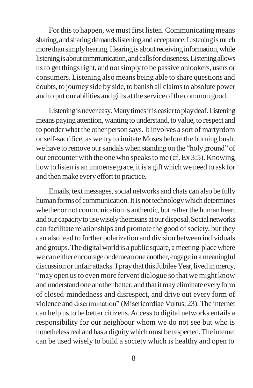For this to happen, we must first listen. Communicating means sharing, and sharing demands listening and acceptance. Listening is much more than simply hearing. Hearing is about receiving information, while listening is about communication, and calls for closeness. Listening allows us to get things right, and not simply to be passive onlookers, users or consumers. Listening also means being able to share questions and doubts, to journeyside by side, to banish all claimsto absolute power and to put our abilities and gifts at the service of the common good.

Listening is never easy. Many times it is easier to play deaf. Listening means paying attention, wanting to understand, to value, to respect and to ponder what the other person says. It involves a sort of martyrdom orself-sacrifice, as we try to imitate Moses before the burning bush: we have to remove our sandals when standing on the "holy ground" of our encounter with the one who speakstome (cf.Ex 3:5). Knowing how to listen is an immense grace, it is a gift which we need to ask for and then make every effort to practice.

Emails, text messages, social networks and chats can also be fully human forms of communication. It is not technology which determines whether or not communication is authentic, but rather the human heart andourcapacitytousewiselythemeansatourdisposal.Socialnetworks can facilitate relationships and promote the good of society, but they can also lead to further polarization and division between individuals and groups. The digital world is a public square, a meeting-place where we can either encourage or demean one another, engage in a meaningful discussion or unfair attacks. I pray that this Jubilee Year, lived in mercy, "may open us to even more fervent dialogue so that we might know and understand one another better; and that it may eliminate every form of closed-mindedness and disrespect, and drive out every form of violence and discrimination" (Misericordiae Vultus, 23).The internet can help usto be better citizens.Accessto digital networks entails a responsibility for our neighbour whom we do not see but who is nonetheless real and has a dignity which must be respected. The internet can be used wisely to build a society which is healthy and open to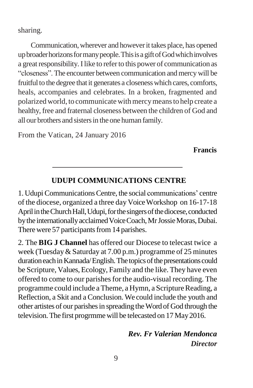sharing.

Communication,wherever and howeverit takes place, has opened upbroaderhorizonsformanypeople.ThisisagiftofGodwhichinvolves a great responsibility. I like to refer to this power of communication as "closeness". The encounter between communication and mercy will be fruitful to the degree that it generates a closeness which cares, comforts, heals, accompanies and celebrates. In a broken, fragmented and polarizedworld, to communicatewithmercymeansto help create a healthy, free and fraternal closeness between the children of God and all our brothers and sisters in the one human family.

From the Vatican, 24 January 2016

**Francis**

# **UDUPI COMMUNICATIONS CENTRE**

1. Udupi Communications Centre, the social communications' centre of the diocese, organized a three day VoiceWorkshop on 16-17-18 April in the Church Hall, Udupi, for the singers of the diocese, conducted by the internationally acclaimed Voice Coach, Mr Jossie Moras, Dubai. There were 57 participants from 14 parishes.

2. The **BIG J Channel** has offered our Diocese to telecast twice a week (Tuesday& Saturday at 7.00 p.m.) programme of 25 minutes duration each in Kannada/English. The topics of the presentations could be Scripture, Values, Ecology, Family and the like. They have even offered to come to our parishes for the audio-visual recording. The programme could include a Theme, a Hymn, a Scripture Reading, a Reflection, a Skit and a Conclusion. We could include the youth and other artistes of our parishesin spreading theWord of God through the television.The first progrmmewill be telecasted on 17 May2016.

> *Rev. Fr Valerian Mendonca Director*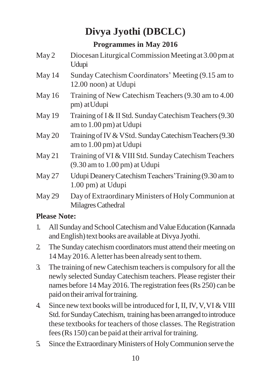# **Divya Jyothi (DBCLC)**

# **Programmes in May 2016**

- May 2 Diocesan Liturgical Commission Meeting at 3.00 pm at Udupi
- May 14 Sunday Catechism Coordinators' Meeting (9.15 am to 12.00 noon) at Udupi
- May 16 Training of New Catechism Teachers (9.30 am to 4.00 pm) atUdupi
- May 19 Training of I & II Std. Sunday Catechism Teachers (9.30) amto 1.00 pm) at Udupi
- May 20 Training of IV & VStd. Sunday Catechism Teachers (9.30) amto 1.00 pm) at Udupi
- May 21 Training of VI & VIII Std. Sunday Catechism Teachers (9.30 am to 1.00 pm) at Udupi
- May 27 Udupi Deanery Catechism Teachers' Training (9.30 am to 1.00 pm) at Udupi
- May 29 Day of Extraordinary Ministers of Holy Communion at Milagres Cathedral

# **Please Note:**

- 1. All Sunday and School Catechism and Value Education (Kannada and English) text books are available at Divya Jyothi.
- 2. The Sunday catechism coordinators must attend their meeting on 14May 2016.Aletter has been alreadysent to them.
- 3. The training of new Catechismteachersis compulsory for all the newly selected Sunday Catechism teachers. Please register their names before 14 May 2016. The registration fees (Rs 250) can be paid on their arrival for training.
- 4. Since new text books will be introduced for I, II, IV, V, VI & VIII Std. for Sunday Catechism, training has been arranged to introduce these textbooks for teachers of those classes. The Registration fees ( $\text{Rs } 150$ ) can be paid at their arrival for training.
- 5. Since theExtraordinaryMinisters of HolyCommunion serve the